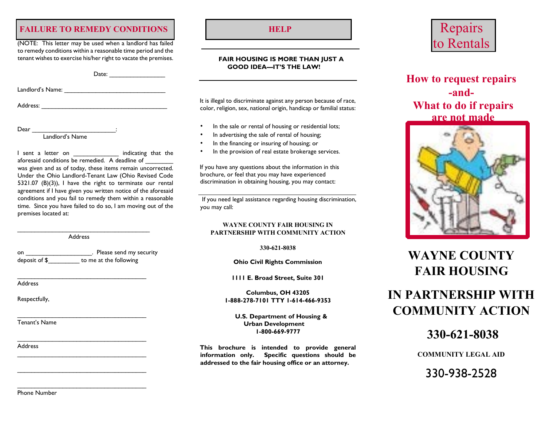## **FAILURE TO REMEDY CONDITIONS HELP**

(NOTE: This letter may be used when a landlord has failed to remedy conditions within a reasonable time period and the tenant wishes to exercise his/her right to vacate the premises.

Date:

Landlord's Name: \_\_\_\_\_\_\_\_\_\_\_\_\_\_\_\_\_\_\_\_\_\_\_\_\_\_\_\_\_

Address: \_\_\_\_\_\_\_\_\_\_\_\_\_\_\_\_\_\_\_\_\_\_\_\_\_\_\_\_\_\_\_\_\_\_\_\_

Dear \_\_\_\_\_\_\_\_\_\_\_\_\_\_\_\_\_\_\_\_\_\_\_\_\_\_\_\_\_\_\_\_\_:

Landlord's Name

I sent a letter on The indicating that the aforesaid conditions be remedied. A deadline of was given and as of today, these items remain uncorrected. Under the Ohio Landlord-Tenant Law (Ohio Revised Code 5321.07 (B)(3)), I have the right to terminate our rental agreement if I have given you written notice of the aforesaid conditions and you fail to remedy them within a reasonable time. Since you have failed to do so, I am moving out of the premises located at:

Address

\_\_\_\_\_\_\_\_\_\_\_\_\_\_\_\_\_\_\_\_\_\_\_\_\_\_\_\_\_\_\_\_\_\_\_\_\_\_

on **by Densylve Exercise** Please send my security deposit of \$ to me at the following

\_\_\_\_\_\_\_\_\_\_\_\_\_\_\_\_\_\_\_\_\_\_\_\_\_\_\_\_\_\_\_\_\_\_\_\_\_

\_\_\_\_\_\_\_\_\_\_\_\_\_\_\_\_\_\_\_\_\_\_\_\_\_\_\_\_\_\_\_\_\_\_\_\_\_

\_\_\_\_\_\_\_\_\_\_\_\_\_\_\_\_\_\_\_\_\_\_\_\_\_\_\_\_\_\_\_\_\_\_\_\_\_

\_\_\_\_\_\_\_\_\_\_\_\_\_\_\_\_\_\_\_\_\_\_\_\_\_\_\_\_\_\_\_\_\_\_\_\_\_

\_\_\_\_\_\_\_\_\_\_\_\_\_\_\_\_\_\_\_\_\_\_\_\_\_\_\_\_\_\_\_\_\_\_\_\_\_

\_\_\_\_\_\_\_\_\_\_\_\_\_\_\_\_\_\_\_\_\_\_\_\_\_\_\_\_\_\_\_\_\_\_\_\_\_

Address

Respectfully,

Tenant's Name

Address

### **FAIR HOUSING IS MORE THAN JUST A GOOD IDEA—IT'S THE LAW!**

It is illegal to discriminate against any person because of race, color, religion, sex, national origin, handicap or familial status:

- In the sale or rental of housing or residential lots;
- In advertising the sale of rental of housing;
- In the financing or insuring of housing; or
- In the provision of real estate brokerage services.

If you have any questions about the information in this brochure, or feel that you may have experienced discrimination in obtaining housing, you may contact:

If you need legal assistance regarding housing discrimination, you may call:

### **WAYNE COUNTY FAIR HOUSING IN PARTNERSHIP WITH COMMUNITY ACTION**

**330-621-8038**

**Ohio Civil Rights Commission** 

**1111 E. Broad Street, Suite 301** 

**Columbus, OH 43205 1-888-278-7101 TTY 1-614-466-9353** 

**U.S. Department of Housing & Urban Development 1-800-669-9777** 

**This brochure is intended to provide general information only. Specific questions should be addressed to the fair housing office or an attorney.** 



**How to request repairs -and-What to do if repairs are not made** 



# **WAYNE COUNTY FAIR HOUSING**

# **IN PARTNERSHIP WITH COMMUNITY ACTION**

**330-621-8038**

**COMMUNITY LEGAL AID**

330-938-2528

Phone Number